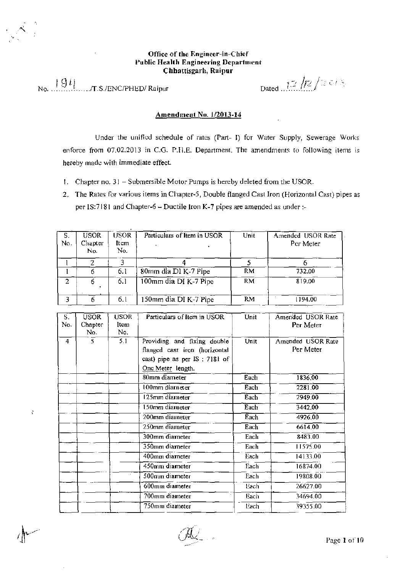## Office of the Engineer-in-Chief Public Health Engineering Department Chhattisgarh, Raipur

I .9 ii *.,·· ..',..~.·\_./!·* ,, • No. . . ...IT.S./ENC/PHED/ Raipur Dated .. .i.·.--: f,

Ň

## Amendment No. 1/2013-14

Under the unified schedule of rates (Part- I) for Water Supply, Sewerage Works enforce from 07.02.2013 in C.G. P.H.E. Department. The amendments to following items is hereby made with immediate effect.

- 1. Chapter no. 31 Submersible Motor Pumps is hereby deleted from the USOR.
- 2. The Rates for various items in Chapter-5, Double flanged Cast Iron (Horizontal Cast) pipes as per IS:7181 and Chapter-6 - Ductile Iron K-7 pipes are amended as under :-

| S.<br>N٥. | <b>USOR</b><br>Chapter<br>No. | USOR.<br>Item<br>No. | Particulars of Item in USOR | Unit      | Amended USOR Rate<br>Per Meter |
|-----------|-------------------------------|----------------------|-----------------------------|-----------|--------------------------------|
|           |                               |                      |                             |           |                                |
|           |                               | 6.1                  | 80mm dia DI K-7 Pipe        | <b>RM</b> | 732.00                         |
| 2         |                               | 6.1                  | 100mm dia DI K-7 Pipe       | <b>RM</b> | 819.00                         |
| ٦         |                               | 6.1                  | 150mm dia DI K-7 Pipe       | RM.       | 1194.00                        |

| S.<br>No. | USOR.<br>Chapter<br>No. | <b>USOR</b><br>Item<br>No. | Particulars of Item in USOR                                                                                        | Unit | Amended USOR Rate<br>Per Meter |
|-----------|-------------------------|----------------------------|--------------------------------------------------------------------------------------------------------------------|------|--------------------------------|
| 4         | 5.                      | 5.1                        | Providing and fixing double<br>flanged cast iron (horizontal<br>cast) pipe as per IS: 7181 of<br>One Meter length. | Unit | Amended USOR Rate<br>Per Meter |
|           |                         |                            | 80mm diameter                                                                                                      | Each | 1836,00                        |
|           |                         |                            | 100mm diameter                                                                                                     | Each | 2281.00                        |
|           |                         |                            | 125mm diameter                                                                                                     | Each | 2949.00                        |
|           |                         |                            | 150mm diameter                                                                                                     | Each | 3442,00                        |
|           |                         |                            | 200mm diameter                                                                                                     | Each | 4926.00                        |
|           |                         |                            | 250mm diameter                                                                                                     | Each | 6614.00                        |
|           |                         |                            | 300mm diameter                                                                                                     | Each | 8483.00                        |
|           |                         |                            | 350mm diameter                                                                                                     | Each | 11575.00                       |
|           |                         |                            | 400mm diameter                                                                                                     | Each | 14133.00                       |
|           |                         |                            | 450mm diameter                                                                                                     | Each | 16874.00                       |
|           |                         |                            | $500$ mm diameter                                                                                                  | Each | 19808.00                       |
|           |                         |                            | $600$ mm diameter                                                                                                  | Each | 26627.00                       |
|           |                         |                            | 700mm diameter                                                                                                     | Each | 34694.00                       |
|           |                         |                            | 750mm diameter                                                                                                     | Each | 39355.00                       |

~--·.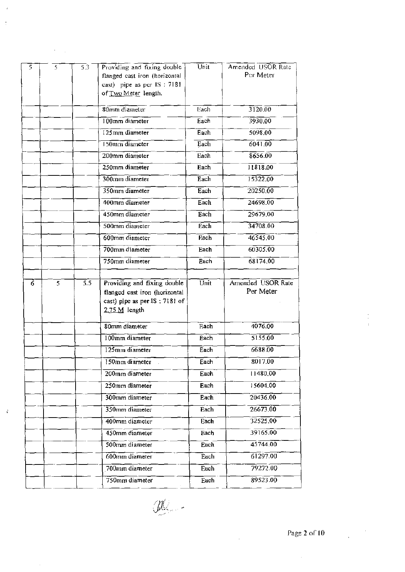| 3120.00<br>3930.00<br>5098.00<br>6041.00<br>8656.00<br>11818.00<br>15322.00<br>20250.00<br>24698.00<br>29679,00 |
|-----------------------------------------------------------------------------------------------------------------|
|                                                                                                                 |
|                                                                                                                 |
|                                                                                                                 |
|                                                                                                                 |
|                                                                                                                 |
|                                                                                                                 |
|                                                                                                                 |
|                                                                                                                 |
|                                                                                                                 |
|                                                                                                                 |
|                                                                                                                 |
| 34708.00                                                                                                        |
| 46545.00                                                                                                        |
| 60305.00                                                                                                        |
| 68174.00                                                                                                        |
| Amended USOR Rate<br>Per Meter                                                                                  |
| 4076.00                                                                                                         |
| 5155.00                                                                                                         |
| 6688.00                                                                                                         |
| 8017.00                                                                                                         |
| 11480,00                                                                                                        |
| 15604.00                                                                                                        |
|                                                                                                                 |
| 20436.00                                                                                                        |
|                                                                                                                 |
| 26673.00<br>32525.00                                                                                            |
| 39165.00                                                                                                        |
|                                                                                                                 |
| 45744.00                                                                                                        |
| 61297.00<br>79272.00                                                                                            |
|                                                                                                                 |

 $\ddot{\cdot}$ 

 $\vec{r}$ 

 $\hat{\boldsymbol{\beta}}$ 

 $\mathscr{L}$  :

 $\bar{\beta}$ 

Ŷ,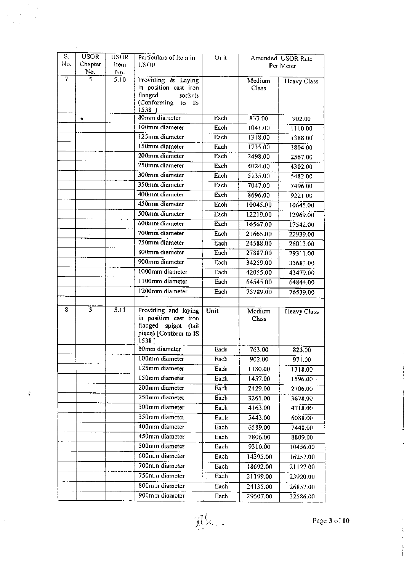| $\overline{S}$ . | <b>USOR</b>           | <b>USOR</b> | Particulars of Item in                      | Unit |                 | Amended USOR Rate  |
|------------------|-----------------------|-------------|---------------------------------------------|------|-----------------|--------------------|
| No.              | Chapter               | ltem        | <b>USOR</b>                                 |      |                 | Per Meter          |
| 7                | No.<br>$\overline{5}$ | No.<br>5.10 |                                             |      |                 |                    |
|                  |                       |             | Providing & Laying<br>in position cast iron |      | Medium<br>Class | Heavy Class        |
|                  |                       |             | flanged<br>sockets                          |      |                 |                    |
|                  |                       |             | (Conforming<br>to<br>- IS                   |      |                 |                    |
|                  |                       |             | 1538)<br>80mm diameter                      |      |                 |                    |
|                  | ٠                     |             |                                             | Each | 833.00          | 902.00             |
|                  |                       |             | 100mm diameter<br>125mm diameter            | Each | 1041.00         | 1110.00            |
|                  |                       |             |                                             | Each | 1318.00         | 1388.00            |
|                  |                       |             | 150mm diameter                              | Each | 1735.00         | 1804.00            |
|                  |                       |             | 200mm diameter                              | Each | 2498.00         | 2567.00            |
|                  |                       |             | 250mm diameter                              | Each | 4024.00         | 4302.00            |
|                  |                       |             | 300mm diameter                              | Each | 5135.00         | 5482.00            |
|                  |                       |             | 350mm diameter                              | Each | 7047.00         | 7496.00            |
|                  |                       |             | 400mm diameter                              | Each | 8696.00         | 9221.00            |
|                  |                       |             | 450mm diameter                              | Each | 10045.00        | 10645.00           |
|                  |                       |             | 500mm diameter                              | Each | 12219.00        | 12969.00           |
|                  |                       |             | 600mm diameter                              | Each | 16567.00        | 17542.00           |
|                  |                       |             | 700mm diameter                              | Each | 21665.00        | 22939.00           |
|                  |                       |             | 750mm diameter                              | Each | 24588.00        | 26013.00           |
|                  |                       |             | 800mm diameter                              | Each | 27887.00        | 29311.00           |
|                  |                       |             | 900mm diameter                              | Each | 34259.00        | 35683.00           |
|                  |                       |             | 1000mm diameter                             | Each | 42055.00        | 43479.00           |
|                  |                       |             | 1100mm diameter                             | Each | 64545.00        | 64844.00           |
|                  |                       |             | 1200mm diameter                             | Each | 75789.00        | 76539.00           |
|                  |                       |             |                                             |      |                 |                    |
| 8                | $\overline{s}$        | 5.11        | Providing and laying                        | Unit | Medium          | <b>Heavy Class</b> |
|                  |                       |             | in position cast iron                       |      | Class           |                    |
|                  |                       |             | flanged spigot<br>(tail                     |      |                 |                    |
|                  |                       |             | piece) [Conform to IS<br>1538]              |      |                 |                    |
|                  |                       |             | 80mm diameter                               | Each | 763.00          | 825,00             |
|                  |                       |             | 100mm diameter                              | Each | 902.00          | 971.00             |
|                  |                       |             | 125mm diameter                              | Each | 1180.00         | 1318.00            |
|                  |                       |             | 150mm diameter                              | Each | 1457.00         | 1596.00            |
|                  |                       |             | 200mm diameter                              | Each | 2429.00         | 2706.00            |
|                  |                       |             | 250mm diameter                              | Each | 3261.00         | 3678.00            |
|                  |                       |             | 300mm diameter                              | Each | 4163.00         | 4718.00            |
|                  |                       |             | 350mm diameter                              | Each | 5443.00         | 6088.00            |
|                  |                       |             | 400mm diameter                              | Each | 6589.00         | 7448.00            |
|                  |                       |             | 450mm diameter                              | Each | 7806.00         |                    |
|                  |                       |             | 500mm diameter                              | Each |                 | 8809.00            |
|                  |                       |             | 600mm diameter                              |      | 9310.00         | 10456.00           |
|                  |                       |             |                                             | Each | 14395.00        | 16257.00           |
|                  |                       |             | 700mm diameter                              | Each | 18692.00        | 21127.00           |
|                  |                       |             | 750mm diameter                              | Each | 21199.00        | 23920.00           |
|                  |                       |             | 800mm diameter                              | Each | 24135.00        | 26857.00           |
|                  |                       |             | 900mm diameter                              | Each | 29507.00        | 32586.00           |

 $\ddot{\phantom{0}}$ 

 $\frac{1}{2}$  $\frac{1}{\sqrt{2}}$ 

 $\ddot{\bullet}$ 

 $\hat{\mathcal{F}}$ 

 $\label{eq:2.1} \frac{1}{\sqrt{2}}\sum_{i=1}^n\frac{1}{\sqrt{2}}\sum_{i=1}^n\frac{1}{\sqrt{2}}\sum_{i=1}^n\frac{1}{\sqrt{2}}\sum_{i=1}^n\frac{1}{\sqrt{2}}\sum_{i=1}^n\frac{1}{\sqrt{2}}\sum_{i=1}^n\frac{1}{\sqrt{2}}\sum_{i=1}^n\frac{1}{\sqrt{2}}\sum_{i=1}^n\frac{1}{\sqrt{2}}\sum_{i=1}^n\frac{1}{\sqrt{2}}\sum_{i=1}^n\frac{1}{\sqrt{2}}\sum_{i=1}^n\frac$ 

 $\frac{1}{2}$ 

 $\hat{\boldsymbol{\beta}}$ 

 $\frac{1}{\sqrt{2}}$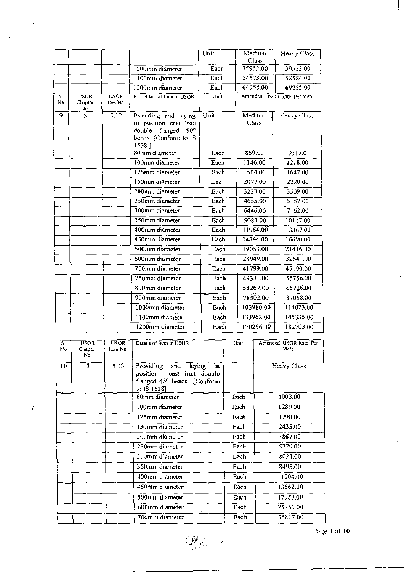|          |                                            |                                      |                                                                                                            | Unit                     | Medium<br>Class | Heavy Class                 |
|----------|--------------------------------------------|--------------------------------------|------------------------------------------------------------------------------------------------------------|--------------------------|-----------------|-----------------------------|
|          |                                            |                                      | 1000mm diameter                                                                                            | Each                     | 35952.00        | 39533.00                    |
|          |                                            |                                      | 1100mm diameter                                                                                            | Each                     | 54573.00        | 58584.00                    |
|          |                                            |                                      | 1200mm diameter                                                                                            | Each                     | 64958.00        | 69255.00                    |
| S.<br>No | $\overline{\text{USOR}}$<br>Chapter<br>Nυ. | $\overline{\text{USOR}}$<br>Item No. | Particulars of Item in USOR                                                                                | Unit                     |                 | Amended USOR Rate Per Meter |
| 9        | 5                                          | $\overline{5.12}$                    | Providing and laying<br>in position cast iron<br>double<br>flanged<br>90°<br>bends [Conform to IS<br>15381 | Unit                     | Medium<br>Class | Heavy Class                 |
|          |                                            |                                      | 80mm diameter                                                                                              | Each                     | 859.00          | 931.00                      |
|          |                                            |                                      | 100mm diameter                                                                                             | Each                     | 1146.00         | 1218.00                     |
|          |                                            |                                      | 125mm diameter                                                                                             | Each                     | 1504.00         | 1647.00                     |
|          |                                            |                                      | 150mm diameter                                                                                             | Each                     | 2077.00         | 2220.00                     |
|          |                                            |                                      | 200mm diameter                                                                                             | Each                     | 3223.00         | 3509.00                     |
|          |                                            |                                      | 250mm diameter                                                                                             | Each                     | 4655.00         | 5157.00                     |
|          |                                            |                                      | 300mm diameter                                                                                             | Each                     | 6446.00         | 7162.00                     |
|          |                                            |                                      | 350mm diameter                                                                                             | Each                     | 9083.00         | 10117.00                    |
|          |                                            |                                      | 400mm diameter                                                                                             | Each                     | 11964.00        | 13367.00                    |
|          |                                            |                                      | 450mm diameter                                                                                             | Each                     | 14844.00        | 16690.00                    |
|          |                                            |                                      | 500mm diameter                                                                                             | Each                     | 19053.00        | 21416.00                    |
|          |                                            |                                      | $600$ mm diameter                                                                                          | Each                     | 28949.00        | 32641.00                    |
|          |                                            |                                      | 700mm diameter                                                                                             | Each                     | 41799.00        | 47190.00                    |
|          |                                            |                                      | 750mm diameter                                                                                             | $E$ ach                  | 49331.00        | 55756.00                    |
|          |                                            |                                      | 800mm diameter                                                                                             | Each                     | 58267.00        | 65726.00                    |
|          |                                            |                                      | 900mm diameter                                                                                             | Each                     | 78502.00        | 87068.00                    |
|          |                                            |                                      | 1000mm diameter                                                                                            | $\overline{\text{Each}}$ | 103980.00       | 114023.00                   |
|          |                                            |                                      | 1100mm diameter                                                                                            | Each                     | 133962.00       | 145335.00                   |
|          |                                            |                                      | 1200mm diameter                                                                                            | Each                     | 170296,00       | 182703.00                   |

| S.<br>No | <b>USOR</b><br>Chapter<br>No. | <b>USOR</b><br>llem No. | Details of Hem in USOR                                                                                     | Unit | Amended USOR Rate Per<br>Meter |
|----------|-------------------------------|-------------------------|------------------------------------------------------------------------------------------------------------|------|--------------------------------|
| 10       | 5.                            | 5.13                    | Providing<br>laying<br>and<br>in<br>position cast iron double<br>flanged 45° bends [Conform<br>to IS 1538] |      | Heavy Class                    |
|          |                               |                         | 80mm diameter                                                                                              | Each | 1003.00                        |
|          |                               |                         | 100mm diameter                                                                                             | Each | 1289.00                        |
|          |                               |                         | 125mm diameter                                                                                             | Each | 1790.00                        |
|          |                               |                         | 150mm diameter                                                                                             | Each | 2435.00                        |
|          |                               |                         | 200mm diameter                                                                                             | Each | 3867.00                        |
|          |                               |                         | 250mm diameter                                                                                             | Each | 5729.00                        |
|          |                               |                         | 300mm diameter                                                                                             | Each | 8021.00                        |
|          |                               |                         | 350mm diameter                                                                                             | Each | 8493.00                        |
|          |                               |                         | 400mm diameter                                                                                             | Each | 11004.00                       |
|          |                               |                         | 450mm diameter                                                                                             | Each | 13662.00                       |
|          |                               |                         | 500mm diameter                                                                                             | Each | 17059.00                       |
|          |                               |                         | 600mm diameter                                                                                             | Each | 25256.00                       |
|          |                               |                         | 700mm diameter                                                                                             | Each | 35817.00                       |

 $\mathbb{C}$ 

 $\ddot{\epsilon}$ 

Page 4 of 10

 $\frac{1}{2}$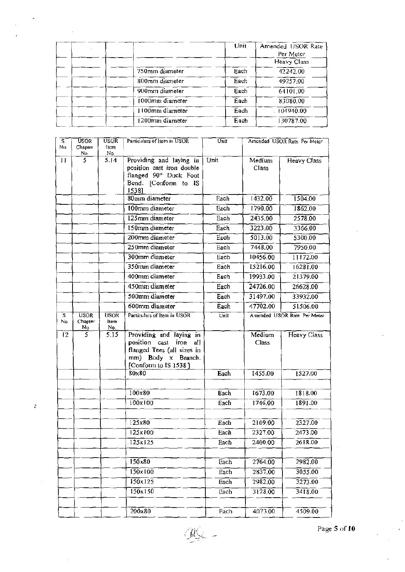|                 | Unit | Amended USOR Rate |
|-----------------|------|-------------------|
|                 |      | Per Meter         |
|                 |      | Heavy Class       |
| 750mm diameter  | Each | 42242.00          |
| 800mm diameter  | Each | 49257,00          |
| 900mm diameter  | Each | 64101,00          |
| 1000mm diameter | Each | 83080.00          |
| 1100mm diameter | Each | $-104940.00$      |
| 1200mm diameter | Each | 130787.00         |

| S.        | USOR <sup>1</sup>             | <b>USOR</b>         | Particulars of Item in USOR                        | Unit                     | Amended USOR Rate Per Meter |                             |
|-----------|-------------------------------|---------------------|----------------------------------------------------|--------------------------|-----------------------------|-----------------------------|
| No.       | Chapter<br><u>N٥</u>          | ttem<br>No.         |                                                    |                          |                             |                             |
| 11        | 5.                            | 5.14                | Providing and laying in                            | Unit                     | Medium                      | Heavy Class                 |
|           |                               |                     | position cast iron double<br>flanged 90° Duck Foot |                          | Class                       |                             |
|           |                               |                     | Bend. [Conform to IS                               |                          |                             |                             |
|           |                               |                     | 15381                                              |                          |                             |                             |
|           |                               |                     | 80mm diameter                                      | Each                     | 1432.00                     | 1504.00                     |
|           |                               |                     | 100mm diameter                                     | Each                     | 1790.00                     | 1862.00                     |
|           |                               |                     | 125mm diameter                                     | Each                     | 2435.00                     | 2578.00                     |
|           |                               |                     | 150mm diameter                                     | Each                     | 3223.00                     | 3366.00                     |
|           |                               |                     | 200mm diameter                                     | Each                     | 5013.00                     | 5300.00                     |
|           |                               |                     | 250mm diameter                                     | Each                     | 7448.00                     | 7950.00                     |
|           |                               |                     | 300mm diameter                                     | Each                     | 10456.00                    | 1172.00                     |
|           |                               |                     | 350mm diameter                                     | Each                     | 15216.00                    | 16281.00                    |
|           |                               |                     | 400mm diameter                                     | Each                     | 19933.00                    | 21379.00                    |
|           |                               |                     | $450mm$ diameter                                   | Each                     | 24726.00                    | 26628.00                    |
|           |                               |                     | 500mm diameter                                     | Each                     | 31497.00                    | 33932.00                    |
|           |                               |                     | 600mm diameter                                     | Each                     | 47702.00                    | 51506.00                    |
| S.<br>No. | <b>USOR</b><br>Chapter<br>No. | USOR<br>ltem<br>No. | Particulars of Item in USOR                        | Unit                     |                             | Amended USOR Rate Per Meter |
| 12        | 5                             | 5.15                | Providing and laying in                            |                          | Medium                      | Heavy Class                 |
|           |                               |                     | position cast<br>iron<br>all                       |                          | Class                       |                             |
|           |                               |                     | flanged Tees (all sizes in<br>mm) Body x Branch.   |                          |                             |                             |
|           |                               |                     | [Conform to IS 1538]                               |                          |                             |                             |
|           |                               |                     | $80\times80$                                       | Each                     | 1455.00                     | 1527.00                     |
|           |                               |                     |                                                    |                          |                             |                             |
|           |                               |                     | $100 \times 80$                                    | $\overline{\text{Each}}$ | 1673.00                     | 1818.00                     |
|           |                               |                     | 100x100                                            | Each                     | 1746.00                     | 1891.00                     |
|           |                               |                     |                                                    |                          |                             |                             |
|           |                               |                     | 125x80                                             | Each                     | 2109.00                     | 2327.00                     |
|           |                               |                     | 125x100                                            | Each                     | 2327.00                     | 2473.00                     |
|           |                               |                     | $\frac{125x}{25}$                                  | <b>Each</b>              | 2400.00                     | 2618.00                     |
|           |                               |                     |                                                    |                          |                             |                             |
|           |                               |                     | 150x80                                             | Each                     | 2764.00                     | 2982.00                     |
|           |                               |                     | 150x100                                            | Each                     | 2837.00                     | 3055.00                     |
|           |                               |                     | 150x125                                            | Each                     | 2982,00                     | 3273.00                     |
|           |                               |                     | 150x150                                            | Each                     | 3128.00                     | 3418.00                     |
|           |                               |                     |                                                    |                          |                             |                             |
|           |                               |                     | $200\times80$                                      | Each                     | 4073.00                     | 4509.00                     |

 $\zeta$ 

Page 5 of 10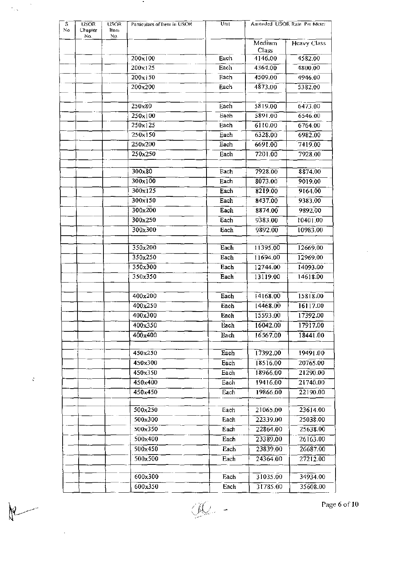| No.<br>No.<br>Medium<br><b>Heavy Class</b><br>Class<br>$200 \times 100$<br>4146.00<br>Each<br>4582.00<br>$200x$ ] 25<br>Each<br>4364.00<br>4800.00<br>200x150<br>Each<br>4509.00<br>4946.00<br>200x200<br>4873.00<br>Each<br>5382.00<br>6473.00<br>$250\times80$<br>Each<br>5819.00<br>5891.00<br>250x100<br>6546.00<br>Each<br>250x125<br>Each<br>6110.00<br>6764.00<br>250x150<br>6328.00<br>6982,00<br>Each<br>250x200<br>Each<br>6691.00<br>7419.00<br>250x250<br>7201.00<br>7928.00<br>Each<br>300x80<br>7928.00<br>Each<br>8874.00<br>300x100<br>Each<br>8073.00<br>9019.00<br>300x125<br>8219.00<br>9164.00<br>Each<br>$300\times150$<br>Each<br>8437.00<br>9383.00<br>300x200<br>Each<br>8874.00<br>9892,00<br>300x250<br>Each<br>9383,00<br>10401.00<br>300x300<br>Each<br>9892.00<br>10983.00<br>350x200<br>Each<br>11395.00<br>12669.00<br>350x250<br>11694.00<br>Each<br>12969.00<br>350x300<br>Each<br>12744.00<br>14093.00<br>350x350<br>Each<br>14618.00<br>13119.00<br>400x200<br>Each<br>15818.00<br>14168.00<br>400x250<br>16117.00<br>Each<br>14468.00<br>400x300<br>15593.00<br>17392.00<br>Each<br>16042.00<br>400x350<br>17917.00<br>Each<br>400x400<br>16567.00<br>18441.00<br>Each<br>450x250<br>Each<br>17392.00<br>19491.00<br>450x300<br>Each<br>18516.00<br>20765.00<br>Each<br>450x350<br>18966.00<br>21290.00<br>450x400<br>Each<br>19416.00<br>21740.00<br>450x450<br>Each<br>19866.00<br>22190.00<br>500x250<br>21065.00<br>23614.00<br>Each<br>500x300<br>Each<br>22339.00<br>25038.00<br>500x350<br>22864.00<br>25638.00<br>Each<br>500x400<br>23389.00<br>26163.00<br>Each<br>500x450<br>Each<br>23839.00<br>26687.00<br>500x500<br>24364.00<br>Each<br>27212.00<br>600x300<br>34934.00<br>Each<br>31035.00 | S.<br>No | <b>USOR</b><br>Chapter | <b>USOR</b><br>ltem. | Particulars of Item in USOR | Unit |          | Amended USOR Rate Per Meter |
|------------------------------------------------------------------------------------------------------------------------------------------------------------------------------------------------------------------------------------------------------------------------------------------------------------------------------------------------------------------------------------------------------------------------------------------------------------------------------------------------------------------------------------------------------------------------------------------------------------------------------------------------------------------------------------------------------------------------------------------------------------------------------------------------------------------------------------------------------------------------------------------------------------------------------------------------------------------------------------------------------------------------------------------------------------------------------------------------------------------------------------------------------------------------------------------------------------------------------------------------------------------------------------------------------------------------------------------------------------------------------------------------------------------------------------------------------------------------------------------------------------------------------------------------------------------------------------------------------------------------------------------------------------------------------------------------------------------------------------------------|----------|------------------------|----------------------|-----------------------------|------|----------|-----------------------------|
|                                                                                                                                                                                                                                                                                                                                                                                                                                                                                                                                                                                                                                                                                                                                                                                                                                                                                                                                                                                                                                                                                                                                                                                                                                                                                                                                                                                                                                                                                                                                                                                                                                                                                                                                                |          |                        |                      |                             |      |          |                             |
|                                                                                                                                                                                                                                                                                                                                                                                                                                                                                                                                                                                                                                                                                                                                                                                                                                                                                                                                                                                                                                                                                                                                                                                                                                                                                                                                                                                                                                                                                                                                                                                                                                                                                                                                                |          |                        |                      |                             |      |          |                             |
|                                                                                                                                                                                                                                                                                                                                                                                                                                                                                                                                                                                                                                                                                                                                                                                                                                                                                                                                                                                                                                                                                                                                                                                                                                                                                                                                                                                                                                                                                                                                                                                                                                                                                                                                                |          |                        |                      |                             |      |          |                             |
|                                                                                                                                                                                                                                                                                                                                                                                                                                                                                                                                                                                                                                                                                                                                                                                                                                                                                                                                                                                                                                                                                                                                                                                                                                                                                                                                                                                                                                                                                                                                                                                                                                                                                                                                                |          |                        |                      |                             |      |          |                             |
|                                                                                                                                                                                                                                                                                                                                                                                                                                                                                                                                                                                                                                                                                                                                                                                                                                                                                                                                                                                                                                                                                                                                                                                                                                                                                                                                                                                                                                                                                                                                                                                                                                                                                                                                                |          |                        |                      |                             |      |          |                             |
|                                                                                                                                                                                                                                                                                                                                                                                                                                                                                                                                                                                                                                                                                                                                                                                                                                                                                                                                                                                                                                                                                                                                                                                                                                                                                                                                                                                                                                                                                                                                                                                                                                                                                                                                                |          |                        |                      |                             |      |          |                             |
|                                                                                                                                                                                                                                                                                                                                                                                                                                                                                                                                                                                                                                                                                                                                                                                                                                                                                                                                                                                                                                                                                                                                                                                                                                                                                                                                                                                                                                                                                                                                                                                                                                                                                                                                                |          |                        |                      |                             |      |          |                             |
|                                                                                                                                                                                                                                                                                                                                                                                                                                                                                                                                                                                                                                                                                                                                                                                                                                                                                                                                                                                                                                                                                                                                                                                                                                                                                                                                                                                                                                                                                                                                                                                                                                                                                                                                                |          |                        |                      |                             |      |          |                             |
|                                                                                                                                                                                                                                                                                                                                                                                                                                                                                                                                                                                                                                                                                                                                                                                                                                                                                                                                                                                                                                                                                                                                                                                                                                                                                                                                                                                                                                                                                                                                                                                                                                                                                                                                                |          |                        |                      |                             |      |          |                             |
|                                                                                                                                                                                                                                                                                                                                                                                                                                                                                                                                                                                                                                                                                                                                                                                                                                                                                                                                                                                                                                                                                                                                                                                                                                                                                                                                                                                                                                                                                                                                                                                                                                                                                                                                                |          |                        |                      |                             |      |          |                             |
|                                                                                                                                                                                                                                                                                                                                                                                                                                                                                                                                                                                                                                                                                                                                                                                                                                                                                                                                                                                                                                                                                                                                                                                                                                                                                                                                                                                                                                                                                                                                                                                                                                                                                                                                                |          |                        |                      |                             |      |          |                             |
|                                                                                                                                                                                                                                                                                                                                                                                                                                                                                                                                                                                                                                                                                                                                                                                                                                                                                                                                                                                                                                                                                                                                                                                                                                                                                                                                                                                                                                                                                                                                                                                                                                                                                                                                                |          |                        |                      |                             |      |          |                             |
|                                                                                                                                                                                                                                                                                                                                                                                                                                                                                                                                                                                                                                                                                                                                                                                                                                                                                                                                                                                                                                                                                                                                                                                                                                                                                                                                                                                                                                                                                                                                                                                                                                                                                                                                                |          |                        |                      |                             |      |          |                             |
|                                                                                                                                                                                                                                                                                                                                                                                                                                                                                                                                                                                                                                                                                                                                                                                                                                                                                                                                                                                                                                                                                                                                                                                                                                                                                                                                                                                                                                                                                                                                                                                                                                                                                                                                                |          |                        |                      |                             |      |          |                             |
|                                                                                                                                                                                                                                                                                                                                                                                                                                                                                                                                                                                                                                                                                                                                                                                                                                                                                                                                                                                                                                                                                                                                                                                                                                                                                                                                                                                                                                                                                                                                                                                                                                                                                                                                                |          |                        |                      |                             |      |          |                             |
|                                                                                                                                                                                                                                                                                                                                                                                                                                                                                                                                                                                                                                                                                                                                                                                                                                                                                                                                                                                                                                                                                                                                                                                                                                                                                                                                                                                                                                                                                                                                                                                                                                                                                                                                                |          |                        |                      |                             |      |          |                             |
|                                                                                                                                                                                                                                                                                                                                                                                                                                                                                                                                                                                                                                                                                                                                                                                                                                                                                                                                                                                                                                                                                                                                                                                                                                                                                                                                                                                                                                                                                                                                                                                                                                                                                                                                                |          |                        |                      |                             |      |          |                             |
|                                                                                                                                                                                                                                                                                                                                                                                                                                                                                                                                                                                                                                                                                                                                                                                                                                                                                                                                                                                                                                                                                                                                                                                                                                                                                                                                                                                                                                                                                                                                                                                                                                                                                                                                                |          |                        |                      |                             |      |          |                             |
|                                                                                                                                                                                                                                                                                                                                                                                                                                                                                                                                                                                                                                                                                                                                                                                                                                                                                                                                                                                                                                                                                                                                                                                                                                                                                                                                                                                                                                                                                                                                                                                                                                                                                                                                                |          |                        |                      |                             |      |          |                             |
|                                                                                                                                                                                                                                                                                                                                                                                                                                                                                                                                                                                                                                                                                                                                                                                                                                                                                                                                                                                                                                                                                                                                                                                                                                                                                                                                                                                                                                                                                                                                                                                                                                                                                                                                                |          |                        |                      |                             |      |          |                             |
|                                                                                                                                                                                                                                                                                                                                                                                                                                                                                                                                                                                                                                                                                                                                                                                                                                                                                                                                                                                                                                                                                                                                                                                                                                                                                                                                                                                                                                                                                                                                                                                                                                                                                                                                                |          |                        |                      |                             |      |          |                             |
|                                                                                                                                                                                                                                                                                                                                                                                                                                                                                                                                                                                                                                                                                                                                                                                                                                                                                                                                                                                                                                                                                                                                                                                                                                                                                                                                                                                                                                                                                                                                                                                                                                                                                                                                                |          |                        |                      |                             |      |          |                             |
|                                                                                                                                                                                                                                                                                                                                                                                                                                                                                                                                                                                                                                                                                                                                                                                                                                                                                                                                                                                                                                                                                                                                                                                                                                                                                                                                                                                                                                                                                                                                                                                                                                                                                                                                                |          |                        |                      |                             |      |          |                             |
|                                                                                                                                                                                                                                                                                                                                                                                                                                                                                                                                                                                                                                                                                                                                                                                                                                                                                                                                                                                                                                                                                                                                                                                                                                                                                                                                                                                                                                                                                                                                                                                                                                                                                                                                                |          |                        |                      |                             |      |          |                             |
|                                                                                                                                                                                                                                                                                                                                                                                                                                                                                                                                                                                                                                                                                                                                                                                                                                                                                                                                                                                                                                                                                                                                                                                                                                                                                                                                                                                                                                                                                                                                                                                                                                                                                                                                                |          |                        |                      |                             |      |          |                             |
|                                                                                                                                                                                                                                                                                                                                                                                                                                                                                                                                                                                                                                                                                                                                                                                                                                                                                                                                                                                                                                                                                                                                                                                                                                                                                                                                                                                                                                                                                                                                                                                                                                                                                                                                                |          |                        |                      |                             |      |          |                             |
|                                                                                                                                                                                                                                                                                                                                                                                                                                                                                                                                                                                                                                                                                                                                                                                                                                                                                                                                                                                                                                                                                                                                                                                                                                                                                                                                                                                                                                                                                                                                                                                                                                                                                                                                                |          |                        |                      |                             |      |          |                             |
|                                                                                                                                                                                                                                                                                                                                                                                                                                                                                                                                                                                                                                                                                                                                                                                                                                                                                                                                                                                                                                                                                                                                                                                                                                                                                                                                                                                                                                                                                                                                                                                                                                                                                                                                                |          |                        |                      |                             |      |          |                             |
|                                                                                                                                                                                                                                                                                                                                                                                                                                                                                                                                                                                                                                                                                                                                                                                                                                                                                                                                                                                                                                                                                                                                                                                                                                                                                                                                                                                                                                                                                                                                                                                                                                                                                                                                                |          |                        |                      |                             |      |          |                             |
|                                                                                                                                                                                                                                                                                                                                                                                                                                                                                                                                                                                                                                                                                                                                                                                                                                                                                                                                                                                                                                                                                                                                                                                                                                                                                                                                                                                                                                                                                                                                                                                                                                                                                                                                                |          |                        |                      |                             |      |          |                             |
|                                                                                                                                                                                                                                                                                                                                                                                                                                                                                                                                                                                                                                                                                                                                                                                                                                                                                                                                                                                                                                                                                                                                                                                                                                                                                                                                                                                                                                                                                                                                                                                                                                                                                                                                                |          |                        |                      |                             |      |          |                             |
|                                                                                                                                                                                                                                                                                                                                                                                                                                                                                                                                                                                                                                                                                                                                                                                                                                                                                                                                                                                                                                                                                                                                                                                                                                                                                                                                                                                                                                                                                                                                                                                                                                                                                                                                                |          |                        |                      |                             |      |          |                             |
|                                                                                                                                                                                                                                                                                                                                                                                                                                                                                                                                                                                                                                                                                                                                                                                                                                                                                                                                                                                                                                                                                                                                                                                                                                                                                                                                                                                                                                                                                                                                                                                                                                                                                                                                                |          |                        |                      |                             |      |          |                             |
|                                                                                                                                                                                                                                                                                                                                                                                                                                                                                                                                                                                                                                                                                                                                                                                                                                                                                                                                                                                                                                                                                                                                                                                                                                                                                                                                                                                                                                                                                                                                                                                                                                                                                                                                                |          |                        |                      |                             |      |          |                             |
|                                                                                                                                                                                                                                                                                                                                                                                                                                                                                                                                                                                                                                                                                                                                                                                                                                                                                                                                                                                                                                                                                                                                                                                                                                                                                                                                                                                                                                                                                                                                                                                                                                                                                                                                                |          |                        |                      |                             |      |          |                             |
|                                                                                                                                                                                                                                                                                                                                                                                                                                                                                                                                                                                                                                                                                                                                                                                                                                                                                                                                                                                                                                                                                                                                                                                                                                                                                                                                                                                                                                                                                                                                                                                                                                                                                                                                                |          |                        |                      |                             |      |          |                             |
|                                                                                                                                                                                                                                                                                                                                                                                                                                                                                                                                                                                                                                                                                                                                                                                                                                                                                                                                                                                                                                                                                                                                                                                                                                                                                                                                                                                                                                                                                                                                                                                                                                                                                                                                                |          |                        |                      |                             |      |          |                             |
|                                                                                                                                                                                                                                                                                                                                                                                                                                                                                                                                                                                                                                                                                                                                                                                                                                                                                                                                                                                                                                                                                                                                                                                                                                                                                                                                                                                                                                                                                                                                                                                                                                                                                                                                                |          |                        |                      |                             |      |          |                             |
|                                                                                                                                                                                                                                                                                                                                                                                                                                                                                                                                                                                                                                                                                                                                                                                                                                                                                                                                                                                                                                                                                                                                                                                                                                                                                                                                                                                                                                                                                                                                                                                                                                                                                                                                                |          |                        |                      |                             |      |          |                             |
|                                                                                                                                                                                                                                                                                                                                                                                                                                                                                                                                                                                                                                                                                                                                                                                                                                                                                                                                                                                                                                                                                                                                                                                                                                                                                                                                                                                                                                                                                                                                                                                                                                                                                                                                                |          |                        |                      |                             |      |          |                             |
|                                                                                                                                                                                                                                                                                                                                                                                                                                                                                                                                                                                                                                                                                                                                                                                                                                                                                                                                                                                                                                                                                                                                                                                                                                                                                                                                                                                                                                                                                                                                                                                                                                                                                                                                                |          |                        |                      | 600x350                     | Each | 31785.00 | 35608.00                    |

 $\sim$  10  $\pm$ 

 $\label{eq:1} \frac{1}{2\sqrt{2}}\left(\frac{1}{\sqrt{2}}\right)^{1/2}$ 

 $\frac{1}{\sqrt{2}}$ 

 $\mathcal{R}$ 

Ŷ,

 $\circled{C}$  -

Page 6 of 10

 $\hat{\boldsymbol{\beta}}$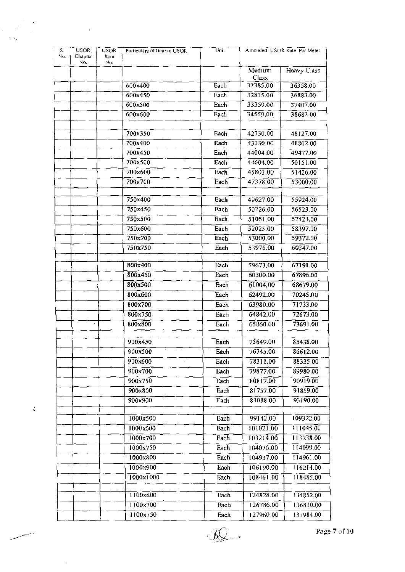| S.<br>No. | USOR <sub>.</sub><br>Chapter | <b>USOR</b><br><b>Item</b> | Particulars of Item in USOR | Unit        |                    | Amended USOR Rate Per Meter |
|-----------|------------------------------|----------------------------|-----------------------------|-------------|--------------------|-----------------------------|
|           | No.                          | Nο.                        |                             |             |                    |                             |
|           |                              |                            |                             |             | $M$ edium<br>Class | Heavy Class                 |
|           |                              |                            | 600x400                     | Each        | 32385.00           | 36358.00                    |
|           |                              |                            | 600x450                     | Each        | 32835.00           | 36883.00                    |
|           |                              |                            | 600x500                     | Each        | 33359.00           | 37407.00                    |
|           |                              |                            | 600x600                     | Each        | 34559,00           | 38682.00                    |
|           |                              |                            |                             |             |                    |                             |
|           |                              |                            | 700x350                     | <b>Each</b> | 42730.00           | 48127.00                    |
|           |                              |                            | 700x400                     | Each        | 43330.00           | 48802.00                    |
|           |                              |                            | 700x450                     | Each        | 44004.00           | 49477.00                    |
|           |                              |                            | 700x500                     | Each        | 44604.00           | 50151.00                    |
|           |                              |                            | 700x600                     | Each        | 45803.00           | 51426.00                    |
|           |                              |                            | 700x700                     | Each        | 47378.00           | 53000.00                    |
|           |                              |                            |                             |             |                    |                             |
|           |                              |                            | 750×400                     | Each        | 49627.00           | 55924.00                    |
|           |                              |                            | 750x450                     | Each        | 50226.00           | 56523.00                    |
|           |                              |                            | 750x500                     | Each        | 51051.00           | 57423.00                    |
|           |                              |                            | 750x600                     | Each        | 52025.00           | 58397.00                    |
|           |                              |                            | 750x700                     | Each        | 53000.00           | 59372.00                    |
|           |                              |                            | 750x750                     | Each        | 53975,00           | 60347.00                    |
|           |                              |                            |                             |             |                    |                             |
|           |                              |                            | 800x400                     | Each        | 59673.00           | 67191.00                    |
|           |                              |                            | 800x450                     | Each        | 60300.00           | 67896.00                    |
|           |                              |                            | 800x500                     | Each        | 61004.00           | 68679.00                    |
|           |                              |                            | 800x600                     | Each        | 62492.00           | 70245.00                    |
|           |                              |                            | 800x700                     | Each        | 63980.00           | 71733.00                    |
|           |                              |                            | 800x750                     | Each        | 64842.00           | 72673.00                    |
|           |                              |                            | 800x800                     | Each        | 65860.00           | 73691.00                    |
|           |                              |                            | 900x450                     | Each        | 75649.00           | 85438.00                    |
|           |                              |                            | 900x500                     | Each        | 76745.00           | 86612.00                    |
|           |                              |                            | 900x600                     | Each        | 78311.00           | 88335.00                    |
|           |                              |                            | 900×700                     | Each        | 79877.00           | 89980.00                    |
|           |                              |                            | 900x750                     | Each        | 80817.00           | 90919.00                    |
|           |                              |                            | 900x800                     | Each        | 81757.00           | 91859.00                    |
|           |                              |                            | 900×900                     | Each        | 83088.00           | 93190.00                    |
|           |                              |                            |                             |             |                    |                             |
|           |                              |                            | 1000x500                    | <b>Each</b> | 99142.00           | 109322.00                   |
|           |                              |                            | 1000x600                    | Each        | 101021.00          | 111045.00                   |
|           |                              |                            | 1000x700                    | Each        | 103214.00          | 113238.00                   |
|           |                              |                            | 1000x750                    | Each        | 104076.00          | 114099.00                   |
|           |                              |                            | 1000x800                    | Each        | 104937.00          | 14961.00                    |
|           |                              |                            | 1000x900                    | Each        | 106190.00          | 116214.00                   |
|           |                              |                            | 1000x1000                   | Each        | 108461.00          | 118485.00                   |
|           |                              |                            |                             |             |                    |                             |
|           |                              |                            | 1100x600                    | Each        | 124828.00          | 134852.00                   |
|           |                              |                            | 1100x700                    | Each        | 126786.00          | 136810.00                   |
|           |                              |                            | 1100x750                    | Each        | 127960.00          | 137984.00                   |

l.

 $\frac{1}{2}$ 

J,

 $\mathcal{L}$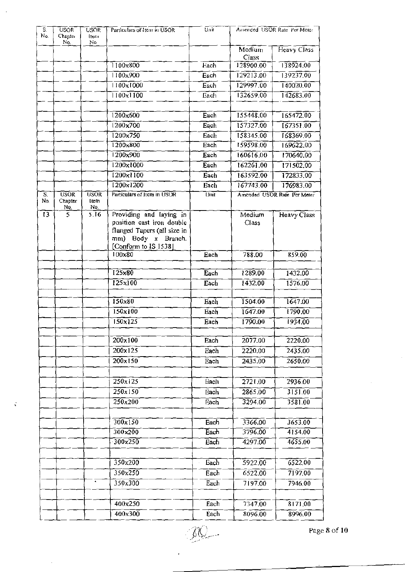| S.<br>No.       | USOR <sup>-</sup><br>Chapter<br>No. | <b>USOR</b><br>Iteni<br>No | Particulars of Item in USOR                                                                                                       | Unit |                 | Amended USOR Rate Per Meter |
|-----------------|-------------------------------------|----------------------------|-----------------------------------------------------------------------------------------------------------------------------------|------|-----------------|-----------------------------|
|                 |                                     |                            |                                                                                                                                   |      | Medium<br>Class | Heavy Class                 |
|                 |                                     |                            | 1100x800                                                                                                                          | Each | 128900.00       | 138924,00                   |
|                 |                                     |                            | 1100x900                                                                                                                          | Each | 129213.00       | 139237.00                   |
|                 |                                     |                            | 1100x1000                                                                                                                         | Each | 129997.00       | 140020.00                   |
|                 |                                     |                            | 1100x1100                                                                                                                         | Each | 132659.00       | 142683.00                   |
|                 |                                     |                            | 1200x600                                                                                                                          | Each | 155448.00       | 165472.00                   |
|                 |                                     |                            | 1200x700                                                                                                                          | Each | 157327.00       | 167351.00                   |
|                 |                                     |                            | 1200x750                                                                                                                          | Each | 158345.00       | 168369.00                   |
|                 |                                     |                            | $1200 \times 800$                                                                                                                 | Each | 159598.00       | 169622.00                   |
|                 |                                     |                            | 1200x900                                                                                                                          | Each | 160616.00       | 170640,00                   |
|                 |                                     |                            | 1200x1000                                                                                                                         | Each | 162261.00       | 171502.00                   |
|                 |                                     |                            | $1200 \times 1100$                                                                                                                | Each | 163592,00       | 172833.00                   |
|                 |                                     | ÷.                         | $1200 \times 1200$                                                                                                                | Each | 167743.00       | 176983,00                   |
| S.<br>No.       | <b>USOR</b><br>Chapter<br>No.       | <b>USOR</b><br>Item<br>No. | Particulars of Item in USOR                                                                                                       | Unit |                 | Amended USOR Rate Per Meter |
| $\overline{13}$ | 5.                                  | 5.16                       | Providing and laying in<br>position cast iron double<br>flanged Tapers (all size in<br>mm) Body x Branch.<br>[Conform to IS 1538] |      | Medium<br>Class | Heavy Class                 |
|                 |                                     |                            | 100x80                                                                                                                            | Each | 788.00          | 859.00                      |
|                 |                                     |                            |                                                                                                                                   |      |                 |                             |
|                 |                                     |                            | $125\times80$                                                                                                                     | Each | 1289.00         | 1432.00                     |
|                 |                                     |                            | 125x100                                                                                                                           | Each | 1432.00         | 1576.00                     |
|                 |                                     |                            | $150\times80$                                                                                                                     | Each | 1504.00         | 1647.00                     |
|                 |                                     |                            | 150x100                                                                                                                           | Each | 1647.00         | 1790.00                     |
|                 |                                     |                            | 150x125                                                                                                                           | Each | 1790.00         | 1934,00                     |
|                 |                                     |                            | 200x100                                                                                                                           | Each | 2077.00         | 2220.00                     |
|                 |                                     |                            | 200x125                                                                                                                           | Each | 2220.00         | 2435.00                     |
|                 |                                     |                            | $200 \times 150$                                                                                                                  | Each | 2435.00         | 2650.00                     |
|                 |                                     |                            | 250x125                                                                                                                           | Each | 2721.00         | 2936.00                     |
|                 |                                     |                            | 250x150                                                                                                                           | Each | 2865.00         | 3151.00                     |
|                 |                                     |                            | 250x200                                                                                                                           | Each | 3294.00         | 3581.00                     |
|                 |                                     |                            |                                                                                                                                   |      |                 |                             |
|                 |                                     |                            | 300x150                                                                                                                           | Each | 3366.00         | 3653.00                     |
|                 |                                     |                            | 300x200                                                                                                                           | Each | 3796.00         | 4154.00                     |
|                 |                                     |                            | 300x250                                                                                                                           | Each | 4297.00         | 4655.00                     |
|                 |                                     |                            |                                                                                                                                   |      |                 |                             |
|                 |                                     |                            | 350x200                                                                                                                           | Each | 5922.00         | 6522.00                     |
|                 |                                     |                            | 350x250                                                                                                                           | Each | 6522.00         | 7197,00                     |
|                 |                                     | $\bullet$                  | $350\times300$                                                                                                                    | Each | 7197.00         | 7946.00                     |
|                 |                                     |                            |                                                                                                                                   |      |                 |                             |
|                 |                                     |                            | 400x250                                                                                                                           | Each | 7347,00         | 8171.00                     |
|                 |                                     |                            | $400\times300$                                                                                                                    | Each | 8096.00         | 8996.00                     |

J.

 $\frac{1}{\sqrt{2}}$ 

 $\bar{z}$ 

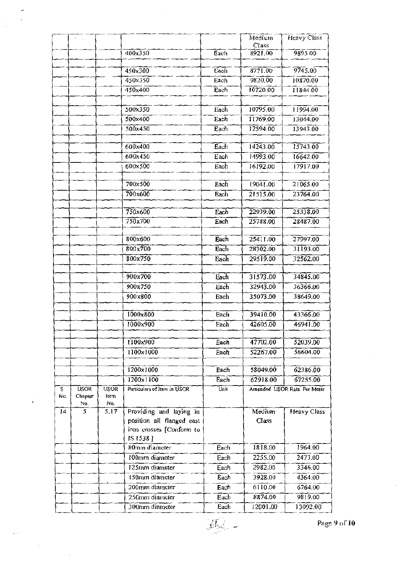|          |                        |                     |                                  |              | Medium<br>Class      | <b>Heavy Class</b>          |
|----------|------------------------|---------------------|----------------------------------|--------------|----------------------|-----------------------------|
|          |                        |                     | 400x350                          | Each         | 8921.00              | 9895.00                     |
|          |                        |                     | 450x300                          | Each         | 8771.00              | 9745.00                     |
|          |                        |                     | 450x350                          | Each         | 9820.00              | 10870.00                    |
|          |                        |                     | 450x400                          | Each         | 10720.00             | 11844.00                    |
|          |                        |                     | 500x350                          | Each         | 10795,00             | 11994.00                    |
|          |                        |                     | 500×400                          | Each         | 11769.00             | 13044.00                    |
|          |                        |                     | 500x450                          | Each         | 12594.00             | 13943.00                    |
|          |                        |                     |                                  |              |                      |                             |
|          |                        |                     | 600x400                          | Each         | 14243.00             | 15743.00                    |
|          |                        |                     | 600x450                          | Each         | 14993.00             | 16642.00                    |
|          |                        |                     | 600×500                          | Each         | 16192.00             | 17917.00                    |
|          |                        |                     | 700x500                          | Each         | 19041.00             | 21065.00                    |
|          |                        |                     | 700x600                          | Each         | 21515.00             | 23764.00                    |
|          |                        |                     |                                  |              |                      |                             |
|          |                        |                     | 750x600                          | Each         | 22939.00             | 25338.00                    |
|          |                        |                     | 750x700                          | Each         | 25788.00             | 28487.00                    |
|          |                        |                     | 800x600                          | Each         | 25411.00             | 27997.00                    |
|          |                        |                     | 800x700                          | Each         | 28302.00             | 31193.00                    |
|          |                        |                     | 800x750                          | Each         | 29519.00             | 32562.00                    |
|          |                        |                     |                                  |              |                      |                             |
|          |                        |                     | 900x700<br>900x750               | Each         | 31573.00<br>32943.00 | 34845.00<br>36366.00        |
|          |                        |                     | 900x800                          | Each<br>Each | 35073.00             | 38649.00                    |
|          |                        |                     |                                  |              |                      |                             |
|          |                        |                     | 1000x800                         | Each         | 39410.00             | 43366.00                    |
|          |                        |                     | 1000x900                         | Each         | 42605.00             | 46941.00                    |
|          |                        |                     | 1100x900                         | Each         | 47702.00             | 52039.00                    |
|          |                        |                     | 1100x1000                        | Each         | 52267.00             | 56604.00                    |
|          |                        |                     |                                  |              |                      |                             |
|          |                        |                     | 1200x1000                        | Each         | 58049.00             | 62386.00                    |
|          |                        |                     | 1200x1100                        | Each         | 62918.00             | 67255.00                    |
| s<br>No. | <b>USOR</b><br>Chapter | <b>USOR</b><br>Item | Particulars of Item in USOR      | Unit         |                      | Amended USOR Rate Per Meter |
| 14       | No.<br>5               | No.<br>5.17         | Providing and laying in          |              | Medium               | <b>Heavy Class</b>          |
|          |                        |                     | position all flanged cast        |              | Class                |                             |
|          |                        |                     | iron crosses [Conform to         |              |                      |                             |
|          |                        |                     | IS 1538]                         |              |                      |                             |
|          |                        |                     | 80mm diameter                    | Each         | 1818.00              | 1964.00                     |
|          |                        |                     | 100mm diameter                   | Each         | 2255.00              | 2473.00                     |
|          |                        |                     | 125mm diameter                   | Each         | 2982.00              | 3346.00                     |
|          |                        |                     | 150mm diameter                   | Each         | 3928.00              | 4364.00                     |
|          |                        |                     | 200mm diameter                   | Each         | 6110.00              | 6764.00                     |
|          |                        |                     | 250mm diameter<br>300mm diameter | Each         | 8874.00<br>12001.00  | 9819.00                     |
|          |                        |                     |                                  | Each         |                      | 13092.00                    |

 $\vec{\epsilon}$ 

 $10^{\circ}$   $\sim$  Page 9 of 10